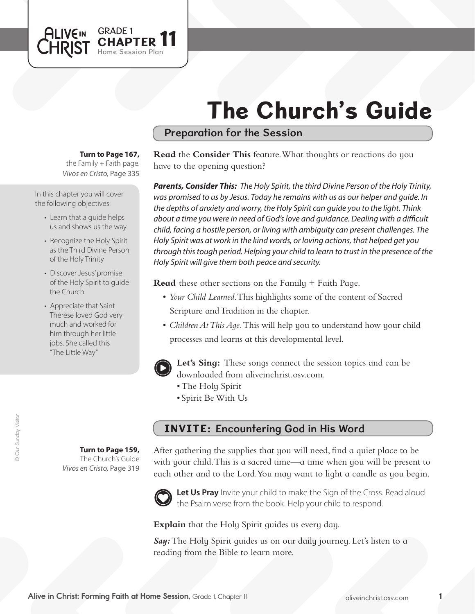# The Church's Guide

### Preparation for the Session

#### **Turn to Page 167,**

GRADE 1<br>CHAPTER 11

Session Plan

the Family  $+$  Faith page. *Vivos en Cristo,* Page 335

In this chapter you will cover the following objectives:

**ALIVEIN LHRIST** 

- Learn that a guide helps us and shows us the way
- Recognize the Holy Spirit as the Third Divine Person of the Holy Trinity
- Discover Jesus' promise of the Holy Spirit to guide the Church
- Appreciate that Saint Thérèse loved God very much and worked for him through her little jobs. She called this "The Little Way"

**Turn to Page 159,** The Church's Guide

*Vivos en Cristo,* Page 319

**Read** the **Consider This** feature. What thoughts or reactions do you have to the opening question?

*Parents, Consider This: The Holy Spirit, the third Divine Person of the Holy Trinity, was promised to us by Jesus. Today he remains with us as our helper and guide. In the depths of anxiety and worry, the Holy Spirit can guide you to the light. Think about a time you were in need of God's love and guidance. Dealing with a difficult child, facing a hostile person, or living with ambiguity can present challenges. The Holy Spirit was at work in the kind words, or loving actions, that helped get you through this tough period. Helping your child to learn to trust in the presence of the Holy Spirit will give them both peace and security.*

**Read** these other sections on the Family + Faith Page.

- • *Your Child Learned*. This highlights some of the content of Sacred Scripture and Tradition in the chapter.
- *Children At This Aqe*. This will help you to understand how your child processes and learns at this developmental level.



**Let's Sing:** These songs connect the session topics and can be downloaded from aliveinchrist.osv.com.

- The Holy Spirit
- • Spirit BeWith Us

## INVITE: Encountering God in His Word

After gathering the supplies that you will need, find a quiet place to be with your child. This is a sacred time—a time when you will be present to each other and to the Lord. You may want to light a candle as you begin.



Let Us Pray Invite your child to make the Sign of the Cross. Read aloud the Psalm verse from the book. Help your child to respond.

**Explain** that the Holy Spirit guides us every day.

Say: The Holy Spirit quides us on our daily journey. Let's listen to a reading from the Bible to learn more.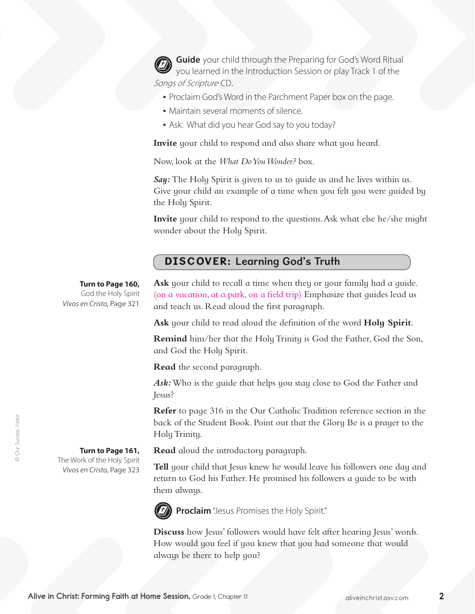**Guide** your child through the Preparing for God's Word Ritual you learned in the Introduction Session or play Track 1 of the Songs of Scripture CD.

- Proclaim God's Word in the Parchment Paper box on the page.
- Maintain several moments of silence.
- Ask: What did you hear God say to you today?

**Invite** your child to respond and also share what you heard.

Now, look at the *What Do You Wonder?* box.

*Say:* The Holy Spirit is given to us to guide us and he lives within us. Give your child an example of a time when you felt you were guided by the Holy Spirit.

**Invite** your child to respond to the questions. Ask what else he/she might wonder about the Holy Spirit.

## DISCOVER: Learning God's Truth

**Turn to Page 160,**

God the Holy Spirit *Vivos en Cristo,* Page 321 **Ask** your child to recall a time when they or your family had a guide. (on a vacation, at a park, on a field trip) Emphasize that guides lead us and teach us. Read aloud the first paragraph.

**Ask** your child to read aloud the definition of the word **Holy Spirit**.

**Remind** him/her that the Holy Trinity is God the Father, God the Son, and God the Holy Spirit.

**Read** the second paragraph.

*Ask:* Who is the guide that helps you stay close to God the Father and Jesus?

**Refer** to page 316 in the Our Catholic Tradition reference section in the back of the Student Book. Point out that the Glory Be is a prayer to the HolyTrinity.

**Read** aloud the introductory paragraph.

**Tell** your child that Jesus knew he would leave his followers one day and return to God his Father. He promised his followers a guide to be with them always.



**Proclaim**"Jesus Promises the Holy Spirit."

**Discuss** how Jesus' followers would have felt after hearing Jesus' words. How would you feel if you knew that you had someone that would always be there to help you?

© Our Sunday Visitor © Our Sunday Visitor

**Turn to Page 161,**  The Work of the Holy Spirit *Vivos en Cristo,* Page 323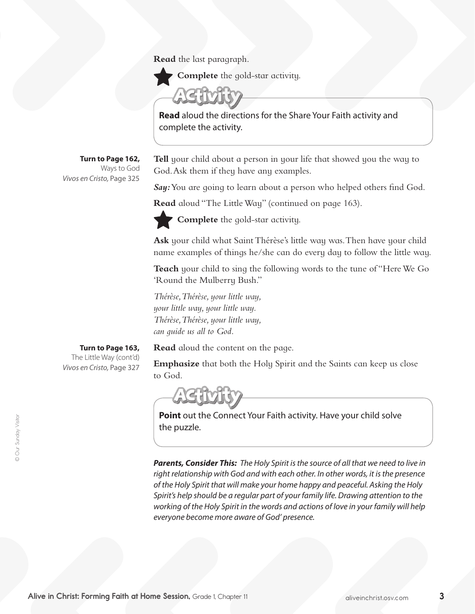**Read** the last paragraph.

**Complete** the gold-star activity.

**Read** aloud the directions for the Share Your Faith activity and complete the activity.

**Turn to Page 162,** Ways to God *Vivos en Cristo,* Page 325

**Tell** your child about a person in your life that showed you the way to God. Ask them if they have any examples.

Say: You are going to learn about a person who helped others find God.

**Read** aloud "The Little Way" (continued on page 163).



**Complete** the gold-star activity.

Ask your child what Saint Thérèse's little way was. Then have your child name examples of things he/she can do every day to follow the little way.

Teach your child to sing the following words to the tune of "Here We Go 'Round the Mulberry Bush."

*Thérèse, Thérèse, your little way, your little way, your little way. Thérèse, Thérèse, your little way, can guide us all to God.*

**Read** aloud the content on the page.

**Emphasize** that both the Holy Spirit and the Saints can keep us close to God.



**Point** out the Connect Your Faith activity. Have your child solve the puzzle.

*Parents, Consider This: The Holy Spirit is the source of all that we need to live in right relationship with God and with each other. In other words, it is the presence of the Holy Spirit that will make your home happy and peaceful. Asking the Holy Spirit's help should be a regular part of your family life. Drawing attention to the working of the Holy Spirit in the words and actions of love in your family will help everyone become more aware of God' presence.* 

**Turn to Page 163,** The Little Way (cont'd) *Vivos en Cristo,* Page 327